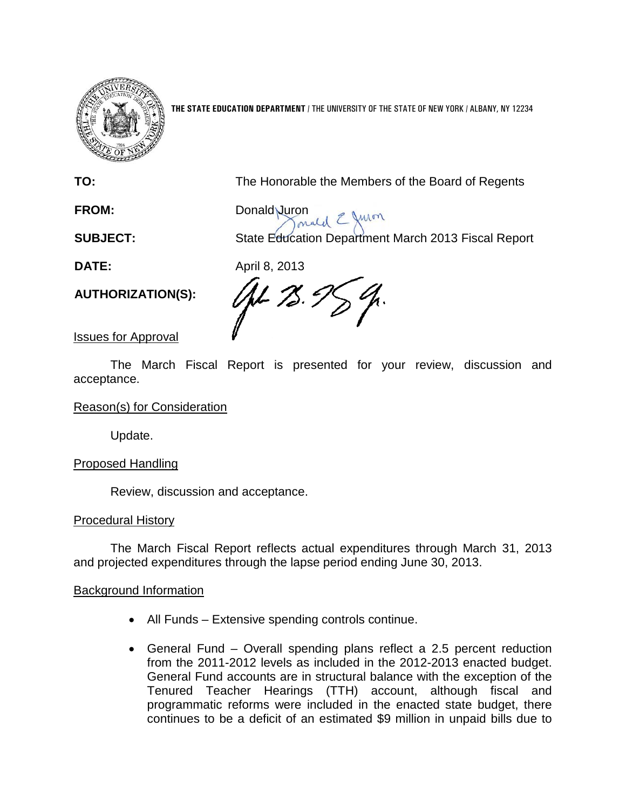

**THE STATE EDUCATION DEPARTMENT** / THE UNIVERSITY OF THE STATE OF NEW YORK / ALBANY, NY 12234

**TO:** The Honorable the Members of the Board of Regents

**FROM:** Donald Juron

**SUBJECT:** State Education Department March 2013 Fiscal Report

**DATE:** April 8, 2013

**AUTHORIZATION(S):**

JL 75. E

Issues for Approval

The March Fiscal Report is presented for your review, discussion and acceptance.

Reason(s) for Consideration

Update.

# Proposed Handling

Review, discussion and acceptance.

# Procedural History

The March Fiscal Report reflects actual expenditures through March 31, 2013 and projected expenditures through the lapse period ending June 30, 2013.

# Background Information

- All Funds Extensive spending controls continue.
- General Fund Overall spending plans reflect a 2.5 percent reduction from the 2011-2012 levels as included in the 2012-2013 enacted budget. General Fund accounts are in structural balance with the exception of the Tenured Teacher Hearings (TTH) account, although fiscal and programmatic reforms were included in the enacted state budget, there continues to be a deficit of an estimated \$9 million in unpaid bills due to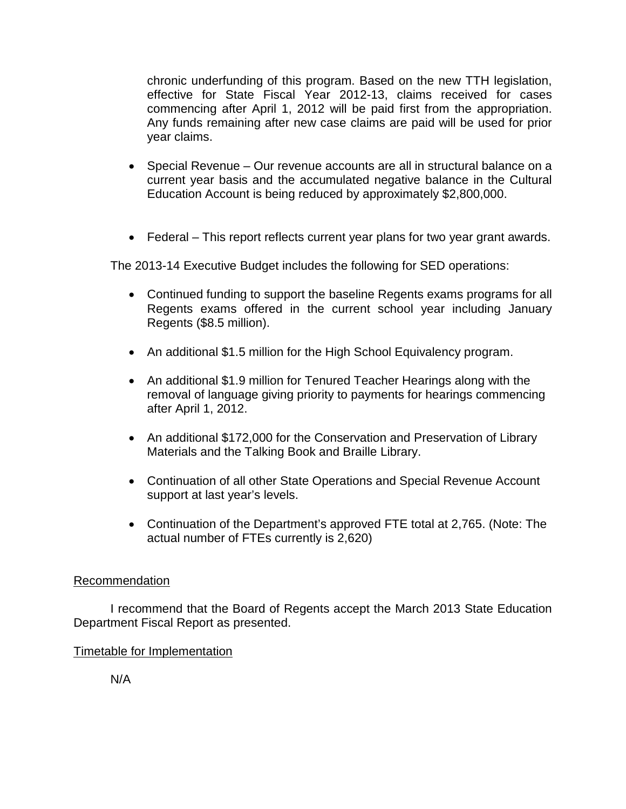chronic underfunding of this program. Based on the new TTH legislation, effective for State Fiscal Year 2012-13, claims received for cases commencing after April 1, 2012 will be paid first from the appropriation. Any funds remaining after new case claims are paid will be used for prior year claims.

- Special Revenue Our revenue accounts are all in structural balance on a current year basis and the accumulated negative balance in the Cultural Education Account is being reduced by approximately \$2,800,000.
- Federal This report reflects current year plans for two year grant awards.

The 2013-14 Executive Budget includes the following for SED operations:

- Continued funding to support the baseline Regents exams programs for all Regents exams offered in the current school year including January Regents (\$8.5 million).
- An additional \$1.5 million for the High School Equivalency program.
- An additional \$1.9 million for Tenured Teacher Hearings along with the removal of language giving priority to payments for hearings commencing after April 1, 2012.
- An additional \$172,000 for the Conservation and Preservation of Library Materials and the Talking Book and Braille Library.
- Continuation of all other State Operations and Special Revenue Account support at last year's levels.
- Continuation of the Department's approved FTE total at 2,765. (Note: The actual number of FTEs currently is 2,620)

## Recommendation

I recommend that the Board of Regents accept the March 2013 State Education Department Fiscal Report as presented.

## Timetable for Implementation

N/A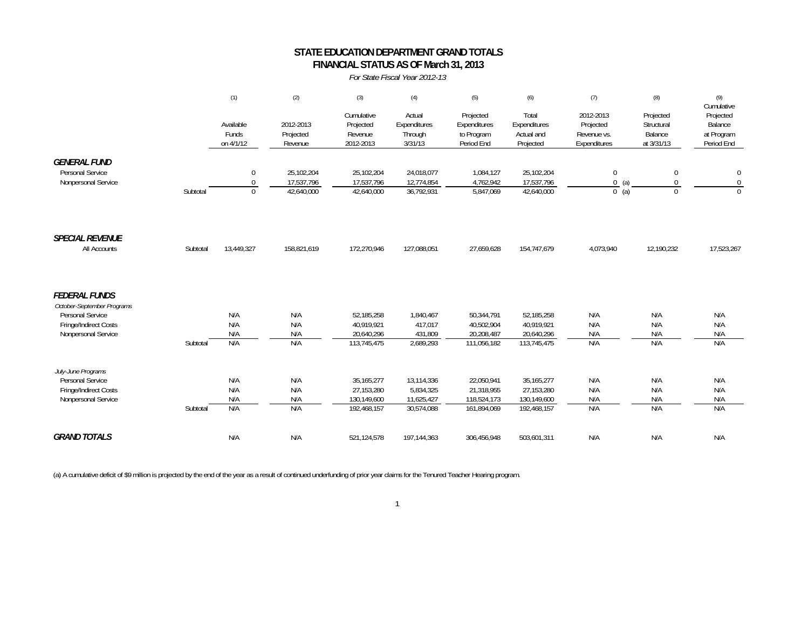### **STATE EDUCATION DEPARTMENT GRAND TOTALS FINANCIAL STATUS AS OF March 31, 2013**

#### *For State Fiscal Year 2012-13*

|                                                                                                                        |          | (1)                             | (2)                                    | (3)                                                      | (4)                                                 | (5)                                                    | (6)                                                      | (7)                                                   | (8)                                              | (9)                                                            |
|------------------------------------------------------------------------------------------------------------------------|----------|---------------------------------|----------------------------------------|----------------------------------------------------------|-----------------------------------------------------|--------------------------------------------------------|----------------------------------------------------------|-------------------------------------------------------|--------------------------------------------------|----------------------------------------------------------------|
|                                                                                                                        |          | Available<br>Funds<br>on 4/1/12 | 2012-2013<br>Projected<br>Revenue      | Cumulative<br>Projected<br>Revenue<br>2012-2013          | Actual<br>Expenditures<br>Through<br>3/31/13        | Projected<br>Expenditures<br>to Program<br>Period End  | Total<br>Expenditures<br>Actual and<br>Projected         | 2012-2013<br>Projected<br>Revenue vs.<br>Expenditures | Projected<br>Structural<br>Balance<br>at 3/31/13 | Cumulative<br>Projected<br>Balance<br>at Program<br>Period End |
| <b>GENERAL FUND</b><br>Personal Service<br>Nonpersonal Service                                                         | Subtotal | 0<br>$\Omega$<br>$\Omega$       | 25,102,204<br>17,537,796<br>42,640,000 | 25,102,204<br>17,537,796<br>42,640,000                   | 24,018,077<br>12,774,854<br>36,792,931              | 1,084,127<br>4,762,942<br>5,847,069                    | 25,102,204<br>17,537,796<br>42,640,000                   | $\mathbf{0}$<br>0(a)<br>$0$ (a)                       | $\pmb{0}$<br>0<br>$\Omega$                       | $\mathbf 0$<br>$\overline{0}$<br>$\Omega$                      |
| <b>SPECIAL REVENUE</b><br>All Accounts                                                                                 | Subtotal | 13,449,327                      | 158,821,619                            | 172,270,946                                              | 127,088,051                                         | 27,659,628                                             | 154,747,679                                              | 4,073,940                                             | 12,190,232                                       | 17,523,267                                                     |
| <b>FEDERAL FUNDS</b><br>October-September Programs<br>Personal Service<br>Fringe/Indirect Costs<br>Nonpersonal Service | Subtotal | N/A<br>N/A<br>N/A<br>N/A        | N/A<br>N/A<br>N/A<br>N/A               | 52,185,258<br>40,919,921<br>20,640,296<br>113,745,475    | 1,840,467<br>417,017<br>431,809<br>2,689,293        | 50,344,791<br>40,502,904<br>20,208,487<br>111,056,182  | 52,185,258<br>40,919,921<br>20,640,296<br>113,745,475    | N/A<br>N/A<br>N/A<br>N/A                              | N/A<br>N/A<br>N/A<br>N/A                         | N/A<br>N/A<br>N/A<br>N/A                                       |
| July-June Programs<br>Personal Service<br>Fringe/Indirect Costs<br>Nonpersonal Service                                 | Subtotal | N/A<br>N/A<br>N/A<br>N/A        | N/A<br>N/A<br>N/A<br>N/A               | 35, 165, 277<br>27,153,280<br>130,149,600<br>192,468,157 | 13,114,336<br>5,834,325<br>11,625,427<br>30,574,088 | 22,050,941<br>21,318,955<br>118,524,173<br>161,894,069 | 35, 165, 277<br>27,153,280<br>130,149,600<br>192,468,157 | N/A<br>N/A<br>N/A<br>N/A                              | N/A<br>N/A<br>N/A<br>N/A                         | N/A<br>N/A<br>N/A<br>N/A                                       |
| <b>GRAND TOTALS</b>                                                                                                    |          | N/A                             | N/A                                    | 521,124,578                                              | 197,144,363                                         | 306,456,948                                            | 503,601,311                                              | N/A                                                   | N/A                                              | N/A                                                            |

(a) A cumulative deficit of \$9 million is projected by the end of the year as a result of continued underfunding of prior year claims for the Tenured Teacher Hearing program.

1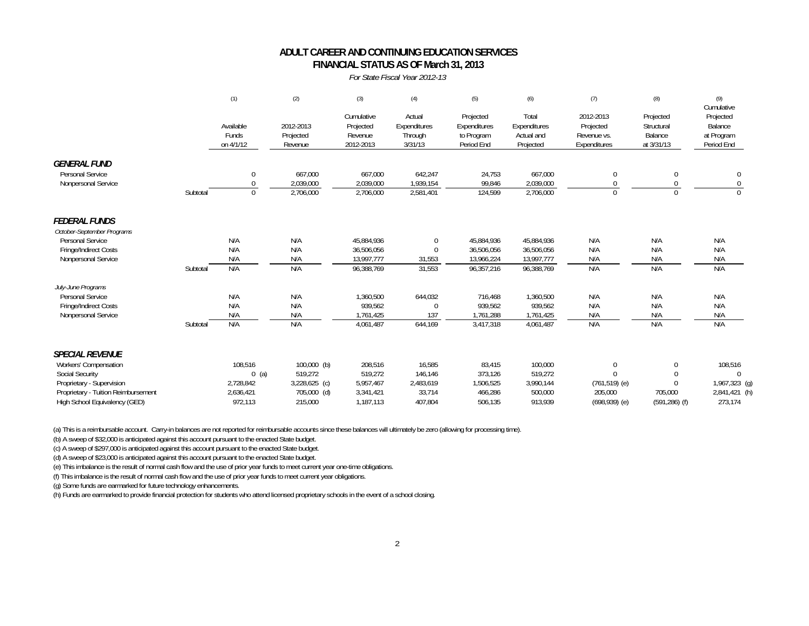#### **FINANCIAL STATUS AS OF March 31, 2013 ADULT CAREER AND CONTINUING EDUCATION SERVICES**

#### *For State Fiscal Year 2012-13*

|                                                                                                                                                                                |          | (1)                                                     | (2)                                                                   | (3)                                                       | (4)                                                 | (5)                                                   | (6)                                                   | (7)                                                                        | (8)                                                                 | (9)<br>Cumulative                                                |
|--------------------------------------------------------------------------------------------------------------------------------------------------------------------------------|----------|---------------------------------------------------------|-----------------------------------------------------------------------|-----------------------------------------------------------|-----------------------------------------------------|-------------------------------------------------------|-------------------------------------------------------|----------------------------------------------------------------------------|---------------------------------------------------------------------|------------------------------------------------------------------|
|                                                                                                                                                                                |          | Available<br>Funds<br>on 4/1/12                         | 2012-2013<br>Projected<br>Revenue                                     | Cumulative<br>Projected<br>Revenue<br>2012-2013           | Actual<br>Expenditures<br>Through<br>3/31/13        | Projected<br>Expenditures<br>to Program<br>Period End | Total<br>Expenditures<br>Actual and<br>Projected      | 2012-2013<br>Projected<br>Revenue vs.<br>Expenditures                      | Projected<br>Structural<br>Balance<br>at 3/31/13                    | Projected<br>Balance<br>at Program<br>Period End                 |
| <b>GENERAL FUND</b><br>Personal Service<br>Nonpersonal Service                                                                                                                 |          | $\mathbf 0$<br>0                                        | 667,000<br>2,039,000                                                  | 667,000<br>2,039,000                                      | 642,247<br>1,939,154                                | 24,753<br>99.846                                      | 667,000<br>2,039,000                                  | $\mathbf{0}$<br>$\Omega$                                                   | $\mathbf 0$<br>0                                                    | 0<br>$\mathbf{0}$                                                |
|                                                                                                                                                                                | Subtotal | $\mathbf{0}$                                            | 2,706,000                                                             | 2,706,000                                                 | 2,581,401                                           | 124,599                                               | 2,706,000                                             | $\Omega$                                                                   | $\Omega$                                                            |                                                                  |
| <b>FEDERAL FUNDS</b><br>October-September Programs<br>Personal Service<br>Fringe/Indirect Costs<br>Nonpersonal Service                                                         | Subtotal | N/A<br>N/A<br>N/A<br>N/A                                | N/A<br>N/A<br>N/A<br>N/A                                              | 45,884,936<br>36,506,056<br>13,997,777<br>96,388,769      | $\mathbf{0}$<br>$\Omega$<br>31,553<br>31,553        | 45,884,936<br>36,506,056<br>13,966,224<br>96,357,216  | 45,884,936<br>36,506,056<br>13,997,777<br>96,388,769  | N/A<br>N/A<br>N/A<br>N/A                                                   | N/A<br>N/A<br>N/A<br>N/A                                            | N/A<br>N/A<br>N/A<br>N/A                                         |
| July-June Programs<br>Personal Service<br>Fringe/Indirect Costs<br>Nonpersonal Service                                                                                         | Subtotal | N/A<br>N/A<br>N/A<br>N/A                                | N/A<br>N/A<br>N/A<br>N/A                                              | 1,360,500<br>939,562<br>1,761,425<br>4,061,487            | 644,032<br>$\Omega$<br>137<br>644,169               | 716,468<br>939,562<br>1,761,288<br>3,417,318          | 1,360,500<br>939,562<br>1,761,425<br>4,061,487        | N/A<br>N/A<br>N/A<br>N/A                                                   | N/A<br>N/A<br>N/A<br>N/A                                            | N/A<br>N/A<br>N/A<br>N/A                                         |
| <b>SPECIAL REVENUE</b><br>Workers' Compensation<br><b>Social Security</b><br>Proprietary - Supervision<br>Proprietary - Tuition Reimbursement<br>High School Equivalency (GED) |          | 108,516<br>$0$ (a)<br>2,728,842<br>2,636,421<br>972.113 | $100,000$ (b)<br>519,272<br>$3,228,625$ (c)<br>705,000 (d)<br>215,000 | 208,516<br>519,272<br>5,957,467<br>3,341,421<br>1.187.113 | 16,585<br>146,146<br>2,483,619<br>33,714<br>407.804 | 83,415<br>373,126<br>1,506,525<br>466,286<br>506.135  | 100,000<br>519,272<br>3,990,144<br>500,000<br>913.939 | $\mathbf{0}$<br>$\Omega$<br>$(761, 519)$ (e)<br>205,000<br>$(698,939)$ (e) | $\mathbf{0}$<br>$\Omega$<br>$\theta$<br>705,000<br>$(591, 286)$ (f) | 108,516<br>$\Omega$<br>1,967,323 (g)<br>2,841,421 (h)<br>273,174 |

(a) This is a reimbursable account. Carry-in balances are not reported for reimbursable accounts since these balances will ultimately be zero (allowing for processing time).

(b) A sweep of \$32,000 is anticipated against this account pursuant to the enacted State budget.

(c) A sweep of \$297,000 is anticipated against this account pursuant to the enacted State budget.

(d) A sweep of \$23,000 is anticipated against this account pursuant to the enacted State budget.

(e) This imbalance is the result of normal cash flow and the use of prior year funds to meet current year one-time obligations.

(f) This imbalance is the result of normal cash flow and the use of prior year funds to meet current year obligations.

(g) Some funds are earmarked for future technology enhancements.

(h) Funds are earmarked to provide financial protection for students who attend licensed proprietary schools in the event of a school closing.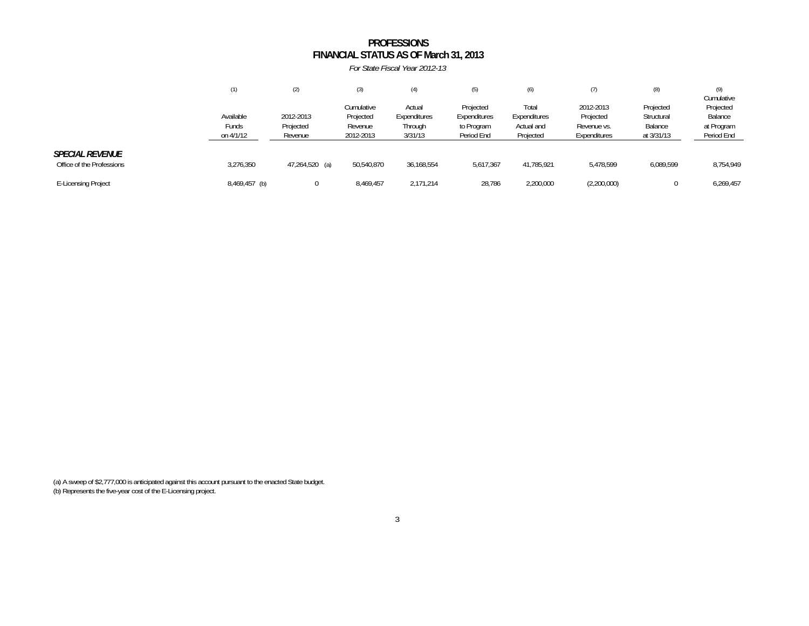#### **FINANCIAL STATUS AS OF March 31, 2013** *For State Fiscal Year 2012-13***PROFESSIONS**

|                                                     | (1)                             | (2)                               | (3)                                             | (4)                                          | (5)                                                   | (6)                                              | (7)                                                   | (8)                                              | (9)<br>Cumulative                                |
|-----------------------------------------------------|---------------------------------|-----------------------------------|-------------------------------------------------|----------------------------------------------|-------------------------------------------------------|--------------------------------------------------|-------------------------------------------------------|--------------------------------------------------|--------------------------------------------------|
|                                                     | Available<br>Funds<br>on 4/1/12 | 2012-2013<br>Projected<br>Revenue | Cumulative<br>Projected<br>Revenue<br>2012-2013 | Actual<br>Expenditures<br>Through<br>3/31/13 | Projected<br>Expenditures<br>to Program<br>Period End | Total<br>Expenditures<br>Actual and<br>Projected | 2012-2013<br>Projected<br>Revenue vs.<br>Expenditures | Projected<br>Structural<br>Balance<br>at 3/31/13 | Projected<br>Balance<br>at Program<br>Period End |
| <b>SPECIAL REVENUE</b><br>Office of the Professions | 3,276,350                       | 47,264,520 (a)                    | 50,540,870                                      | 36,168,554                                   | 5,617,367                                             | 41,785,921                                       | 5,478,599                                             | 6,089,599                                        | 8,754,949                                        |
| <b>E-Licensing Project</b>                          | 8,469,457 (b)                   |                                   | 8,469,457                                       | 2,171,214                                    | 28,786                                                | 2,200,000                                        | (2,200,000)                                           | 0                                                | 6,269,457                                        |

(a) A sweep of \$2,777,000 is anticipated against this account pursuant to the enacted State budget. (b) Represents the five-year cost of the E-Licensing project.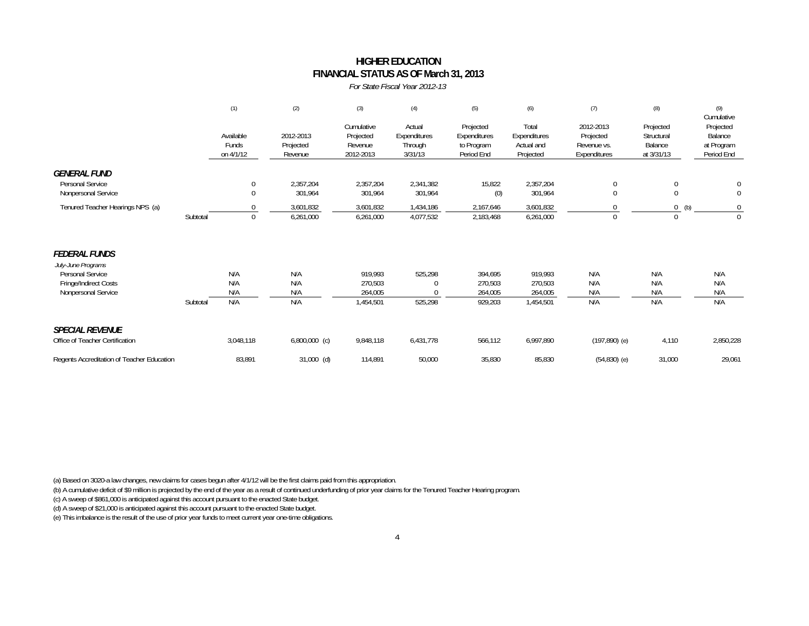### **FINANCIAL STATUS AS OF March 31, 2013 HIGHER EDUCATION**

*For State Fiscal Year 2012-13*

|                                                                                                                       |          | (1)                             | (2)                               | (3)                                             | (4)                                          | (5)                                                   | (6)                                              | (7)                                                   | (8)                                              | (9)<br>Cumulative                                |
|-----------------------------------------------------------------------------------------------------------------------|----------|---------------------------------|-----------------------------------|-------------------------------------------------|----------------------------------------------|-------------------------------------------------------|--------------------------------------------------|-------------------------------------------------------|--------------------------------------------------|--------------------------------------------------|
|                                                                                                                       |          | Available<br>Funds<br>on 4/1/12 | 2012-2013<br>Projected<br>Revenue | Cumulative<br>Projected<br>Revenue<br>2012-2013 | Actual<br>Expenditures<br>Through<br>3/31/13 | Projected<br>Expenditures<br>to Program<br>Period End | Total<br>Expenditures<br>Actual and<br>Projected | 2012-2013<br>Projected<br>Revenue vs.<br>Expenditures | Projected<br>Structural<br>Balance<br>at 3/31/13 | Projected<br>Balance<br>at Program<br>Period End |
| <i><b>GENERAL FUND</b></i><br>Personal Service<br>Nonpersonal Service                                                 |          | $\bf{0}$<br>$\mathbf{0}$        | 2,357,204<br>301,964              | 2,357,204<br>301,964                            | 2,341,382<br>301,964                         | 15,822<br>(0)                                         | 2,357,204<br>301,964                             | $\mathbf 0$<br>$\Omega$                               | 0<br>0                                           | 0                                                |
| Tenured Teacher Hearings NPS (a)                                                                                      | Subtotal | 0<br>$\mathbf{0}$               | 3,601,832<br>6,261,000            | 3,601,832<br>6,261,000                          | 1,434,186<br>4,077,532                       | 2,167,646<br>2,183,468                                | 3,601,832<br>6,261,000                           | $\Omega$                                              | 0<br>(b)<br>$\mathbf 0$                          | $\mathbf 0$<br>$\Omega$                          |
| <i><b>FEDERAL FUNDS</b></i><br>July-June Programs<br>Personal Service<br>Fringe/Indirect Costs<br>Nonpersonal Service | Subtotal | N/A<br>N/A<br>N/A<br>N/A        | N/A<br>N/A<br>N/A<br>N/A          | 919,993<br>270,503<br>264,005<br>1,454,501      | 525,298<br>525,298                           | 394,695<br>270,503<br>264,005<br>929,203              | 919,993<br>270,503<br>264,005<br>1,454,501       | N/A<br>N/A<br>N/A<br>N/A                              | N/A<br>N/A<br>N/A<br>N/A                         | N/A<br>N/A<br>N/A<br>N/A                         |
| <b>SPECIAL REVENUE</b><br>Office of Teacher Certification                                                             |          | 3,048,118                       | $6,800,000$ (c)                   | 9,848,118                                       | 6,431,778                                    | 566,112                                               | 6,997,890                                        | $(197, 890)$ (e)                                      | 4,110                                            | 2,850,228                                        |
| Regents Accreditation of Teacher Education                                                                            |          | 83,891                          | $31,000$ (d)                      | 114,891                                         | 50,000                                       | 35,830                                                | 85,830                                           | $(54,830)$ (e)                                        | 31,000                                           | 29,061                                           |

(a) Based on 3020-a law changes, new claims for cases begun after 4/1/12 will be the first claims paid from this appropriation.

(b) A cumulative deficit of \$9 million is projected by the end of the year as a result of continued underfunding of prior year claims for the Tenured Teacher Hearing program.

(c) A sweep of \$861,000 is anticipated against this account pursuant to the enacted State budget.

(d) A sweep of \$21,000 is anticipated against this account pursuant to the enacted State budget.

(e) This imbalance is the result of the use of prior year funds to meet current year one-time obligations.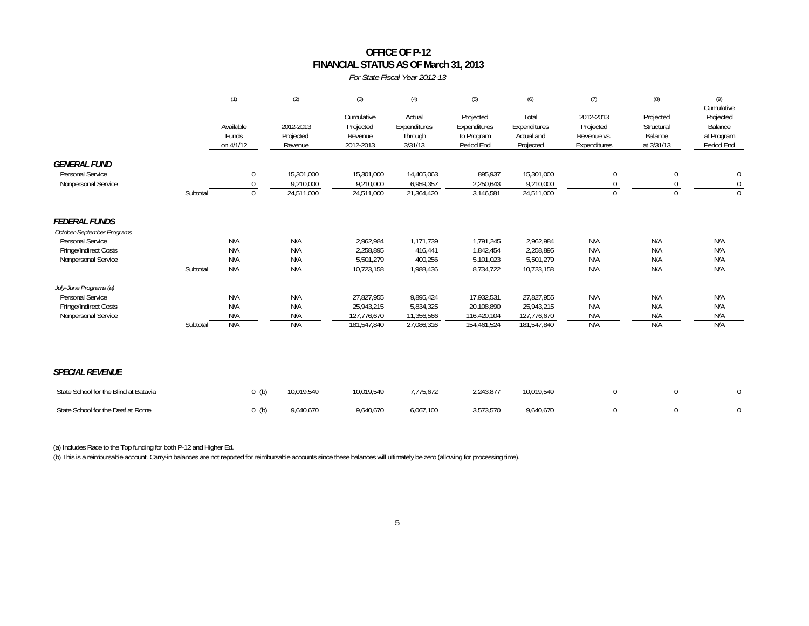### **FINANCIAL STATUS AS OF March 31, 2013 OFFICE OF P-12**

#### *For State Fiscal Year 2012-13*

|                                                                       |          | (1)                             | (2)                                   | (3)                                             | (4)                                          | (5)                                                   | (6)                                              | (7)                                                   | (8)                                              | (9)<br>Cumulative                                |
|-----------------------------------------------------------------------|----------|---------------------------------|---------------------------------------|-------------------------------------------------|----------------------------------------------|-------------------------------------------------------|--------------------------------------------------|-------------------------------------------------------|--------------------------------------------------|--------------------------------------------------|
|                                                                       |          | Available<br>Funds<br>on 4/1/12 | 2012-2013<br>Projected<br>Revenue     | Cumulative<br>Projected<br>Revenue<br>2012-2013 | Actual<br>Expenditures<br>Through<br>3/31/13 | Projected<br>Expenditures<br>to Program<br>Period End | Total<br>Expenditures<br>Actual and<br>Projected | 2012-2013<br>Projected<br>Revenue vs.<br>Expenditures | Projected<br>Structural<br>Balance<br>at 3/31/13 | Projected<br>Balance<br>at Program<br>Period End |
| <b>GENERAL FUND</b><br><b>Personal Service</b><br>Nonpersonal Service | Subtotal | $\mathbf 0$<br>0<br>$\mathbf 0$ | 15,301,000<br>9,210,000<br>24,511,000 | 15,301,000<br>9,210,000<br>24,511,000           | 14,405,063<br>6,959,357<br>21,364,420        | 895,937<br>2,250,643<br>3,146,581                     | 15,301,000<br>9,210,000<br>24,511,000            | $\mathbf{0}$<br>$\mathbf{0}$<br>$\Omega$              | 0<br>0<br>$\Omega$                               | $\mathbf 0$<br>$\mathbf 0$<br>$\mathbf 0$        |
| <b>FEDERAL FUNDS</b><br>October-September Programs                    |          |                                 |                                       |                                                 |                                              |                                                       |                                                  |                                                       |                                                  |                                                  |
| Personal Service                                                      |          | N/A                             | N/A                                   | 2,962,984                                       | 1.171.739                                    | 1,791,245                                             | 2,962,984                                        | N/A                                                   | N/A                                              | N/A                                              |
| Fringe/Indirect Costs                                                 |          | N/A                             | N/A                                   | 2,258,895                                       | 416,441                                      | 1,842,454                                             | 2,258,895                                        | N/A                                                   | N/A                                              | N/A                                              |
| Nonpersonal Service                                                   | Subtotal | N/A<br>N/A                      | N/A<br>N/A                            | 5.501.279<br>10,723,158                         | 400,256<br>1,988,436                         | 5,101,023<br>8,734,722                                | 5,501,279<br>10,723,158                          | N/A<br>N/A                                            | N/A<br>N/A                                       | N/A<br>N/A                                       |
|                                                                       |          |                                 |                                       |                                                 |                                              |                                                       |                                                  |                                                       |                                                  |                                                  |
| July-June Programs (a)<br><b>Personal Service</b>                     |          | N/A                             | N/A                                   | 27,827,955                                      | 9,895,424                                    | 17,932,531                                            | 27,827,955                                       | N/A                                                   | N/A                                              | N/A                                              |
| Fringe/Indirect Costs                                                 |          | N/A                             | N/A                                   | 25,943,215                                      | 5,834,325                                    | 20,108,890                                            | 25,943,215                                       | N/A                                                   | N/A                                              | N/A                                              |
| Nonpersonal Service                                                   |          | N/A                             | N/A                                   | 127,776,670                                     | 11,356,566                                   | 116,420,104                                           | 127,776,670                                      | N/A                                                   | N/A                                              | N/A                                              |
|                                                                       | Subtotal | N/A                             | N/A                                   | 181,547,840                                     | 27,086,316                                   | 154,461,524                                           | 181,547,840                                      | N/A                                                   | N/A                                              | N/A                                              |
| <b>SPECIAL REVENUE</b>                                                |          |                                 |                                       |                                                 |                                              |                                                       |                                                  |                                                       |                                                  |                                                  |
| State School for the Blind at Batavia                                 |          | $0$ (b)                         | 10,019,549                            | 10,019,549                                      | 7,775,672                                    | 2,243,877                                             | 10,019,549                                       | 0                                                     | 0                                                | $\mathbf 0$                                      |
| State School for the Deaf at Rome                                     |          | $0$ (b)                         | 9,640,670                             | 9.640.670                                       | 6,067,100                                    | 3,573,570                                             | 9,640,670                                        | $\mathbf 0$                                           | $\Omega$                                         | $\mathbf 0$                                      |

(a) Includes Race to the Top funding for both P-12 and Higher Ed.

(b) This is a reimbursable account. Carry-in balances are not reported for reimbursable accounts since these balances will ultimately be zero (allowing for processing time).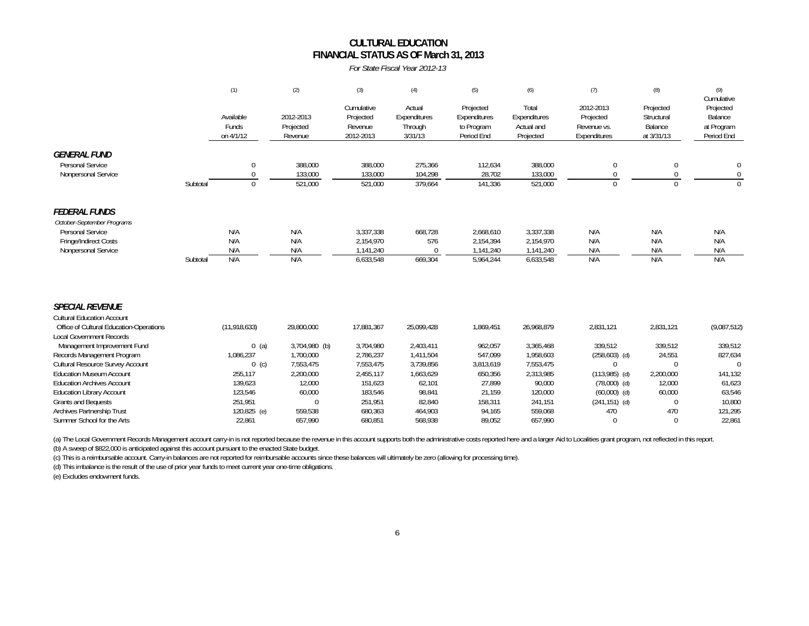## **CULTURAL EDUCATIONFINANCIAL STATUS AS OF March 31, 2013**

*For State Fiscal Year 2012-13*

|                                                                                                                                                                                                                                                                                                                                                                                                                                                  |          | (1)                                                                                                                    | (2)                                                                                                                      | (3)                                                                                                                   | (4)                                                                                                                | (5)                                                                                                        | (6)                                                                                                                  | (7)                                                                                                                                                | (8)                                                                                                           | (9)                                                                                                         |
|--------------------------------------------------------------------------------------------------------------------------------------------------------------------------------------------------------------------------------------------------------------------------------------------------------------------------------------------------------------------------------------------------------------------------------------------------|----------|------------------------------------------------------------------------------------------------------------------------|--------------------------------------------------------------------------------------------------------------------------|-----------------------------------------------------------------------------------------------------------------------|--------------------------------------------------------------------------------------------------------------------|------------------------------------------------------------------------------------------------------------|----------------------------------------------------------------------------------------------------------------------|----------------------------------------------------------------------------------------------------------------------------------------------------|---------------------------------------------------------------------------------------------------------------|-------------------------------------------------------------------------------------------------------------|
|                                                                                                                                                                                                                                                                                                                                                                                                                                                  |          | Available<br>Funds<br>on 4/1/12                                                                                        | 2012-2013<br>Projected<br>Revenue                                                                                        | Cumulative<br>Projected<br>Revenue<br>2012-2013                                                                       | Actual<br>Expenditures<br>Through<br>3/31/13                                                                       | Projected<br>Expenditures<br>to Program<br>Period End                                                      | Total<br>Expenditures<br>Actual and<br>Projected                                                                     | 2012-2013<br>Projected<br>Revenue vs.<br>Expenditures                                                                                              | Projected<br>Structural<br>Balance<br>at 3/31/13                                                              | Cumulative<br>Projected<br>Balance<br>at Program<br>Period End                                              |
| <b>GENERAL FUND</b><br>Personal Service<br>Nonpersonal Service                                                                                                                                                                                                                                                                                                                                                                                   | Subtotal | $\Omega$<br>$\theta$<br>$\Omega$                                                                                       | 388,000<br>133,000<br>521,000                                                                                            | 388,000<br>133,000<br>521,000                                                                                         | 275,366<br>104,298<br>379,664                                                                                      | 112,634<br>28,702<br>141,336                                                                               | 388,000<br>133,000<br>521,000                                                                                        | 0<br>$\Omega$                                                                                                                                      | 0<br>$\Omega$<br>$\Omega$                                                                                     | 0<br>$\mathbf 0$<br>$\Omega$                                                                                |
| <b>FEDERAL FUNDS</b><br>October-September Programs<br>Personal Service<br>Fringe/Indirect Costs<br>Nonpersonal Service                                                                                                                                                                                                                                                                                                                           | Subtotal | N/A<br>N/A<br>N/A<br>N/A                                                                                               | N/A<br>N/A<br>N/A<br>N/A                                                                                                 | 3,337,338<br>2,154,970<br>1,141,240<br>6,633,548                                                                      | 668,728<br>576<br>$\mathbf{0}$<br>669,304                                                                          | 2,668,610<br>2,154,394<br>1,141,240<br>5,964,244                                                           | 3,337,338<br>2,154,970<br>1,141,240<br>6,633,548                                                                     | N/A<br>N/A<br>N/A<br>N/A                                                                                                                           | N/A<br>N/A<br>N/A<br>N/A                                                                                      | N/A<br>N/A<br>N/A<br>N/A                                                                                    |
| <b>SPECIAL REVENUE</b><br><b>Cultural Education Account</b><br>Office of Cultural Education-Operations<br><b>Local Government Records</b><br>Management Improvement Fund<br>Records Management Program<br>Cultural Resource Survey Account<br><b>Education Museum Account</b><br><b>Education Archives Account</b><br><b>Education Library Account</b><br><b>Grants and Bequests</b><br>Archives Partnership Trust<br>Summer School for the Arts |          | (11, 918, 633)<br>$0$ (a)<br>1,086,237<br>$0$ (c)<br>255,117<br>139,623<br>123,546<br>251,951<br>120,825 (e)<br>22,861 | 29,800,000<br>3,704,980 (b)<br>1,700,000<br>7,553,475<br>2,200,000<br>12,000<br>60,000<br>$\Omega$<br>559,538<br>657,990 | 17,881,367<br>3,704,980<br>2,786,237<br>7,553,475<br>2,455,117<br>151,623<br>183,546<br>251,951<br>680,363<br>680,851 | 25,099,428<br>2,403,411<br>1,411,504<br>3,739,856<br>1,663,629<br>62,101<br>98,841<br>82,840<br>464,903<br>568,938 | 1,869,451<br>962,057<br>547,099<br>3,813,619<br>650,356<br>27,899<br>21,159<br>158,311<br>94,165<br>89,052 | 26,968,879<br>3,365,468<br>1,958,603<br>7,553,475<br>2,313,985<br>90,000<br>120,000<br>241,151<br>559,068<br>657,990 | 2,831,121<br>339.512<br>$(258, 603)$ (d)<br>$\Omega$<br>$(113,985)$ (d)<br>$(78,000)$ (d)<br>$(60,000)$ (d)<br>$(241, 151)$ (d)<br>470<br>$\Omega$ | 2,831,121<br>339,512<br>24,551<br>$\Omega$<br>2,200,000<br>12,000<br>60,000<br>$\Omega$<br>470<br>$\mathbf 0$ | (9,087,512)<br>339,512<br>827,634<br>$\Omega$<br>141,132<br>61,623<br>63,546<br>10,800<br>121,295<br>22,861 |

(a) The Local Government Records Management account carry-in is not reported because the revenue in this account supports both the administrative costs reported here and a larger Aid to Localities grant program, not reflec (b) A sweep of \$822,000 is anticipated against this account pursuant to the enacted State budget.

(c) This is a reimbursable account. Carry-in balances are not reported for reimbursable accounts since these balances will ultimately be zero (allowing for processing time).

(d) This imbalance is the result of the use of prior year funds to meet current year one-time obligations.

(e) Excludes endowment funds.